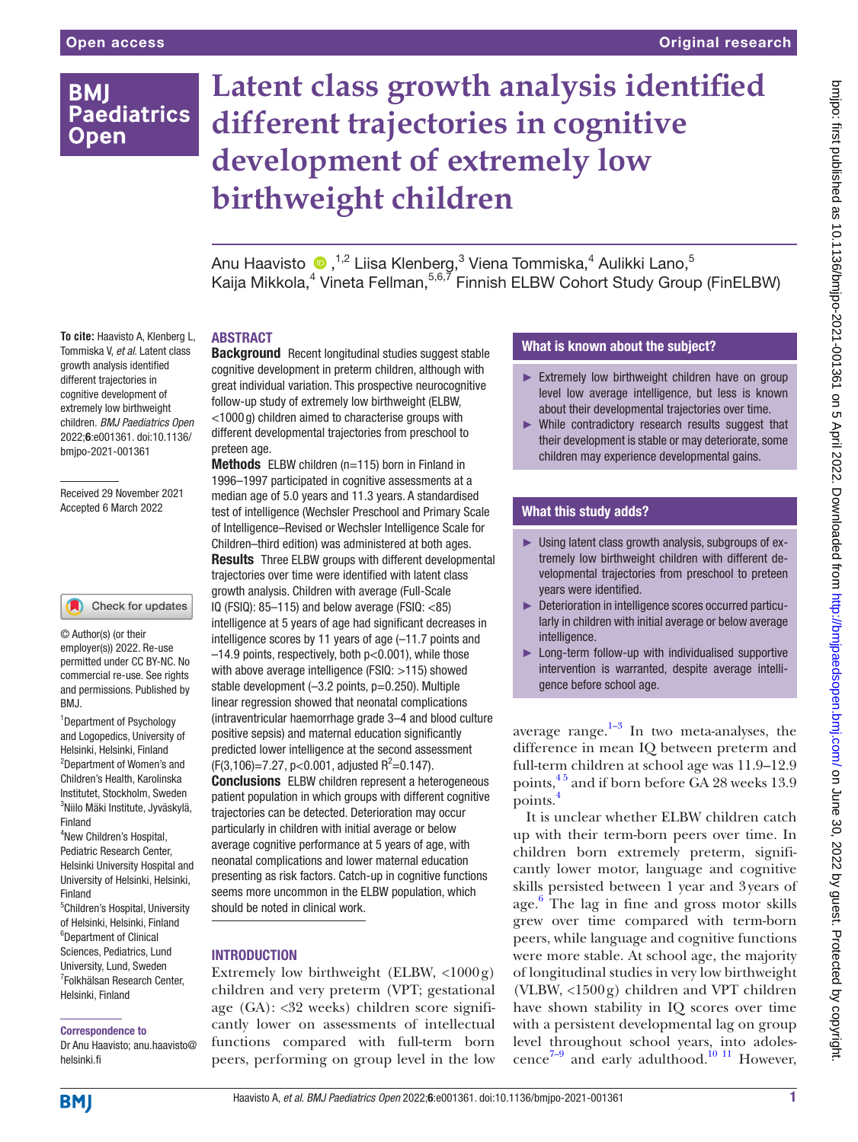# **BMI Paediatrics Open**

# **Latent class growth analysis identified different trajectories in cognitive development of extremely low birthweight children**

AnuHaavisto  $\text{\textcircled{\char'4}}$ , $^{1,2}$  Liisa Klenberg, $^3$  Viena Tommiska, $^4$  Aulikki Lano, $^5$ Kaija Mikkola,<sup>4</sup> Vineta Fellman,<sup>5,6,7</sup> Finnish ELBW Cohort Study Group (FinELBW)

**To cite:** Haavisto A, Klenberg L, Tommiska V, *et al*. Latent class growth analysis identified different trajectories in cognitive development of extremely low birthweight children. *BMJ Paediatrics Open* 2022;6:e001361. doi:10.1136/ bmjpo-2021-001361

Received 29 November 2021 Accepted 6 March 2022

#### Check for updates

© Author(s) (or their employer(s)) 2022. Re-use permitted under CC BY-NC. No commercial re-use. See rights and permissions. Published by BMJ.

1 Department of Psychology and Logopedics, University of Helsinki, Helsinki, Finland 2 Department of Women's and Children's Health, Karolinska Institutet, Stockholm, Sweden 3 Niilo Mäki Institute, Jyväskylä, Finland

4 New Children's Hospital, Pediatric Research Center, Helsinki University Hospital and University of Helsinki, Helsinki, Finland 5 Children's Hospital, University of Helsinki, Helsinki, Finland 6 Department of Clinical Sciences, Pediatrics, Lund University, Lund, Sweden

7 Folkhälsan Research Center, Helsinki, Finland

#### Correspondence to

Dr Anu Haavisto; anu.haavisto@ helsinki.fi

#### ABSTRACT

**Background** Recent longitudinal studies suggest stable cognitive development in preterm children, although with great individual variation. This prospective neurocognitive follow-up study of extremely low birthweight (ELBW, <1000 g) children aimed to characterise groups with different developmental trajectories from preschool to preteen age.

Methods ELBW children (n=115) born in Finland in 1996–1997 participated in cognitive assessments at a median age of 5.0 years and 11.3 years. A standardised test of intelligence (Wechsler Preschool and Primary Scale of Intelligence–Revised or Wechsler Intelligence Scale for Children–third edition) was administered at both ages. **Results** Three ELBW groups with different developmental trajectories over time were identified with latent class growth analysis. Children with average (Full-Scale IQ (FSIQ): 85–115) and below average (FSIQ: <85) intelligence at 5 years of age had significant decreases in intelligence scores by 11 years of age (–11.7 points and –14.9 points, respectively, both p<0.001), while those with above average intelligence (FSIQ: >115) showed stable development (-3.2 points, p=0.250). Multiple linear regression showed that neonatal complications (intraventricular haemorrhage grade 3–4 and blood culture positive sepsis) and maternal education significantly predicted lower intelligence at the second assessment  $(F(3, 106)=7.27, p<0.001,$  adjusted  $R^2=0.147$ ). Conclusions ELBW children represent a heterogeneous patient population in which groups with different cognitive trajectories can be detected. Deterioration may occur particularly in children with initial average or below average cognitive performance at 5 years of age, with neonatal complications and lower maternal education presenting as risk factors. Catch-up in cognitive functions seems more uncommon in the ELBW population, which should be noted in clinical work.

#### INTRODUCTION

Extremely low birthweight (ELBW,  $\langle 1000 \text{ g} \rangle$ children and very preterm (VPT; gestational age (GA): <32 weeks) children score significantly lower on assessments of intellectual functions compared with full-term born peers, performing on group level in the low

## What is known about the subject?

- ► Extremely low birthweight children have on group level low average intelligence, but less is known about their developmental trajectories over time.
- ► While contradictory research results suggest that their development is stable or may deteriorate, some children may experience developmental gains.

## What this study adds?

- ► Using latent class growth analysis, subgroups of extremely low birthweight children with different developmental trajectories from preschool to preteen years were identified.
- ► Deterioration in intelligence scores occurred particularly in children with initial average or below average intelligence.
- ► Long-term follow-up with individualised supportive intervention is warranted, despite average intelligence before school age.

average range. $1-3$  In two meta-analyses, the difference in mean IQ between preterm and full-term children at school age was 11.9–12.9 points, <sup>45</sup> and if born before GA 28 weeks 13.9 points.[4](#page-5-1)

It is unclear whether ELBW children catch up with their term-born peers over time. In children born extremely preterm, significantly lower motor, language and cognitive skills persisted between 1 year and 3years of age. [6](#page-5-2) The lag in fine and gross motor skills grew over time compared with term-born peers, while language and cognitive functions were more stable. At school age, the majority of longitudinal studies in very low birthweight (VLBW,  $\langle 1500 \text{ g} \rangle$  children and VPT children have shown stability in IQ scores over time with a persistent developmental lag on group level throughout school years, into adolescence<sup>7-9</sup> and early adulthood.<sup>10 11</sup> However,

**BMJ**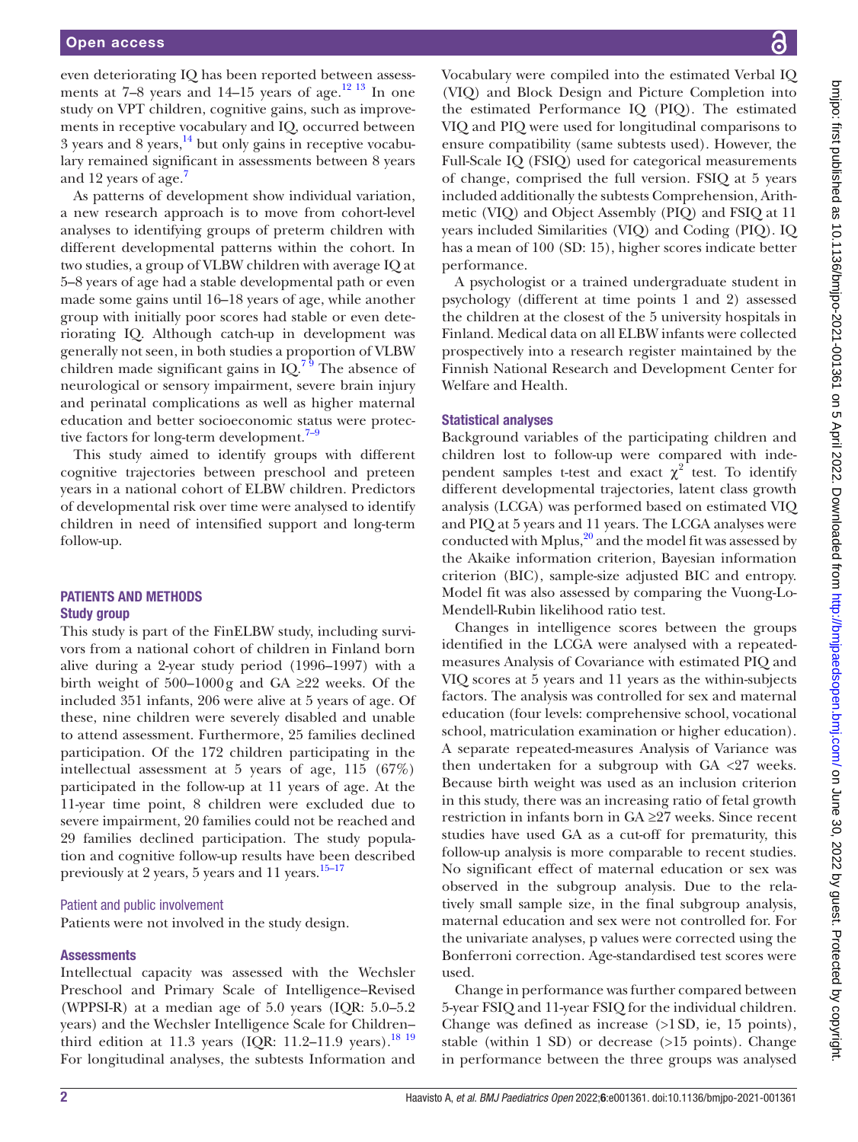even deteriorating IQ has been reported between assessments at  $7-8$  years and  $14-15$  years of age.<sup>12 13</sup> In one study on VPT children, cognitive gains, such as improvements in receptive vocabulary and IQ, occurred between  $3$  years and  $8$  years,  $^{14}$  but only gains in receptive vocabulary remained significant in assessments between 8 years and 12 years of age.<sup>7</sup>

As patterns of development show individual variation, a new research approach is to move from cohort-level analyses to identifying groups of preterm children with different developmental patterns within the cohort. In two studies, a group of VLBW children with average IQ at 5–8 years of age had a stable developmental path or even made some gains until 16–18 years of age, while another group with initially poor scores had stable or even deteriorating IQ. Although catch-up in development was generally not seen, in both studies a proportion of VLBW children made significant gains in  $IQ<sup>79</sup>$ . The absence of neurological or sensory impairment, severe brain injury and perinatal complications as well as higher maternal education and better socioeconomic status were protective factors for long-term development.<sup>7-9</sup>

This study aimed to identify groups with different cognitive trajectories between preschool and preteen years in a national cohort of ELBW children. Predictors of developmental risk over time were analysed to identify children in need of intensified support and long-term follow-up.

#### PATIENTS AND METHODS Study group

This study is part of the FinELBW study, including survivors from a national cohort of children in Finland born alive during a 2-year study period (1996–1997) with a birth weight of 500–1000g and GA  $\geq$ 22 weeks. Of the included 351 infants, 206 were alive at 5 years of age. Of these, nine children were severely disabled and unable to attend assessment. Furthermore, 25 families declined participation. Of the 172 children participating in the intellectual assessment at 5 years of age, 115 (67%) participated in the follow-up at 11 years of age. At the 11-year time point, 8 children were excluded due to severe impairment, 20 families could not be reached and 29 families declined participation. The study population and cognitive follow-up results have been described previously at 2 years, 5 years and 11 years.<sup>[15–17](#page-6-2)</sup>

#### Patient and public involvement

Patients were not involved in the study design.

#### **Assessments**

Intellectual capacity was assessed with the Wechsler Preschool and Primary Scale of Intelligence–Revised (WPPSI-R) at a median age of 5.0 years (IQR: 5.0–5.2 years) and the Wechsler Intelligence Scale for Children– third edition at 11.3 years (IQR: 11.2-11.9 years).<sup>18 19</sup> For longitudinal analyses, the subtests Information and

Vocabulary were compiled into the estimated Verbal IQ (VIQ) and Block Design and Picture Completion into the estimated Performance IQ (PIQ). The estimated VIQ and PIQ were used for longitudinal comparisons to ensure compatibility (same subtests used). However, the Full-Scale IQ (FSIQ) used for categorical measurements of change, comprised the full version. FSIQ at 5 years included additionally the subtests Comprehension, Arithmetic (VIQ) and Object Assembly (PIQ) and FSIQ at 11 years included Similarities (VIQ) and Coding (PIQ). IQ has a mean of 100 (SD: 15), higher scores indicate better performance.

A psychologist or a trained undergraduate student in psychology (different at time points 1 and 2) assessed the children at the closest of the 5 university hospitals in Finland. Medical data on all ELBW infants were collected prospectively into a research register maintained by the Finnish National Research and Development Center for Welfare and Health.

#### Statistical analyses

Background variables of the participating children and children lost to follow-up were compared with independent samples t-test and exact  $\chi^2$  test. To identify different developmental trajectories, latent class growth analysis (LCGA) was performed based on estimated VIQ and PIQ at 5 years and 11 years. The LCGA analyses were conducted with Mplus, $^{20}$  and the model fit was assessed by the Akaike information criterion, Bayesian information criterion (BIC), sample-size adjusted BIC and entropy. Model fit was also assessed by comparing the Vuong-Lo-Mendell-Rubin likelihood ratio test.

Changes in intelligence scores between the groups identified in the LCGA were analysed with a repeatedmeasures Analysis of Covariance with estimated PIQ and VIQ scores at 5 years and 11 years as the within-subjects factors. The analysis was controlled for sex and maternal education (four levels: comprehensive school, vocational school, matriculation examination or higher education). A separate repeated-measures Analysis of Variance was then undertaken for a subgroup with GA <27 weeks. Because birth weight was used as an inclusion criterion in this study, there was an increasing ratio of fetal growth restriction in infants born in GA ≥27 weeks. Since recent studies have used GA as a cut-off for prematurity, this follow-up analysis is more comparable to recent studies. No significant effect of maternal education or sex was observed in the subgroup analysis. Due to the relatively small sample size, in the final subgroup analysis, maternal education and sex were not controlled for. For the univariate analyses, p values were corrected using the Bonferroni correction. Age-standardised test scores were used.

Change in performance was further compared between 5-year FSIQ and 11-year FSIQ for the individual children. Change was defined as increase (>1SD, ie, 15 points), stable (within 1 SD) or decrease (>15 points). Change in performance between the three groups was analysed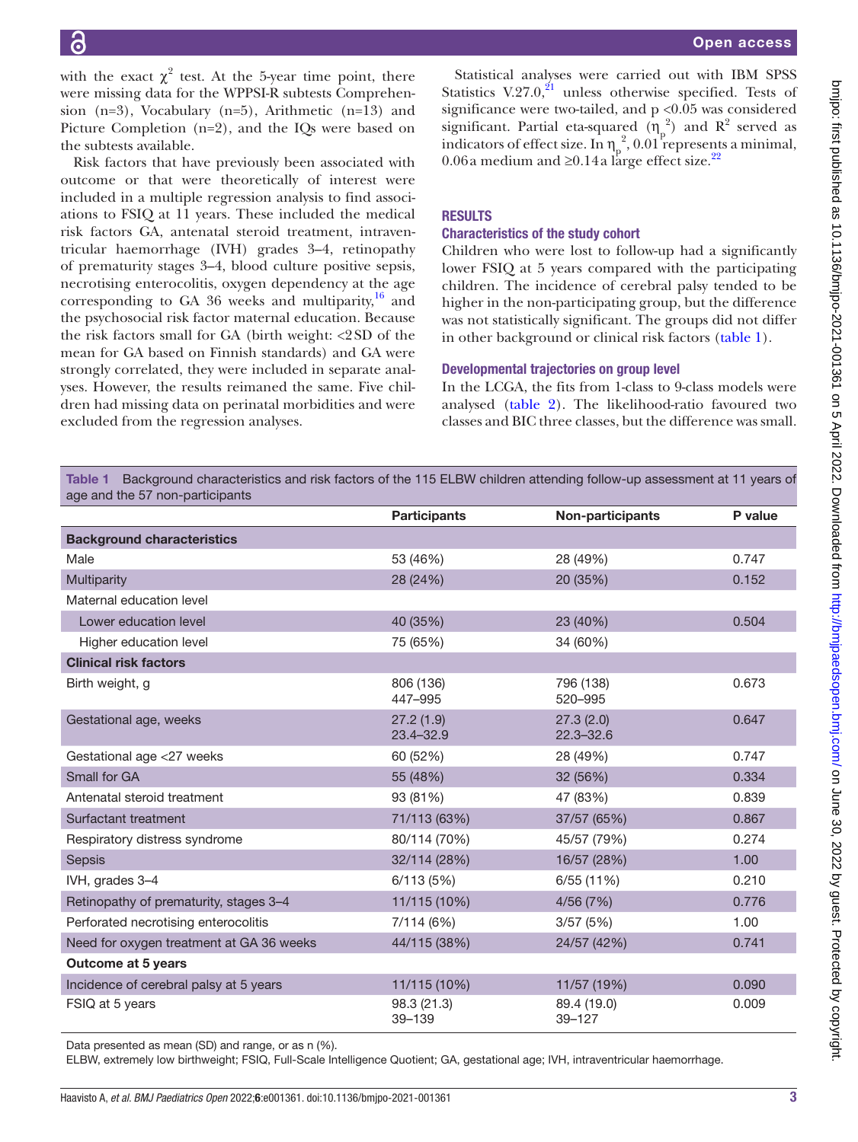with the exact  $\chi^2$  test. At the 5-year time point, there were missing data for the WPPSI-R subtests Comprehension (n=3), Vocabulary (n=5), Arithmetic (n=13) and Picture Completion (n=2), and the IQs were based on the subtests available.

Risk factors that have previously been associated with outcome or that were theoretically of interest were included in a multiple regression analysis to find associations to FSIQ at 11 years. These included the medical risk factors GA, antenatal steroid treatment, intraventricular haemorrhage (IVH) grades 3–4, retinopathy of prematurity stages 3–4, blood culture positive sepsis, necrotising enterocolitis, oxygen dependency at the age corresponding to GA 36 weeks and multiparity, $16$  and the psychosocial risk factor maternal education. Because the risk factors small for GA (birth weight: <2SD of the mean for GA based on Finnish standards) and GA were strongly correlated, they were included in separate analyses. However, the results reimaned the same. Five children had missing data on perinatal morbidities and were excluded from the regression analyses.

Statistical analyses were carried out with IBM SPSS Statistics V.27.0, $^{21}$  unless otherwise specified. Tests of significance were two-tailed, and  $p < 0.05$  was considered significant. Partial eta-squared  $(\eta_p^2)$  and  $R^2$  served as indicators of effect size. In  $\eta_p^2$ , 0.01 represents a minimal, 0.06a medium and ≥0.14a large effect size.<sup>[22](#page-6-7)</sup>

## RESULTS

#### Characteristics of the study cohort

Children who were lost to follow-up had a significantly lower FSIQ at 5 years compared with the participating children. The incidence of cerebral palsy tended to be higher in the non-participating group, but the difference was not statistically significant. The groups did not differ in other background or clinical risk factors [\(table](#page-2-0) 1).

#### Developmental trajectories on group level

In the LCGA, the fits from 1-class to 9-class models were analysed ([table](#page-3-0) 2). The likelihood-ratio favoured two classes and BIC three classes, but the difference was small.

<span id="page-2-0"></span>Table 1 Background characteristics and risk factors of the 115 ELBW children attending follow-up assessment at 11 years of age and the 57 non-participants

|                                          | <b>Participants</b>        | Non-participants           | P value |
|------------------------------------------|----------------------------|----------------------------|---------|
| <b>Background characteristics</b>        |                            |                            |         |
| Male                                     | 53 (46%)                   | 28 (49%)                   | 0.747   |
| Multiparity                              | 28 (24%)                   | 20 (35%)                   | 0.152   |
| Maternal education level                 |                            |                            |         |
| Lower education level                    | 40 (35%)                   | 23 (40%)                   | 0.504   |
| Higher education level                   | 75 (65%)                   | 34 (60%)                   |         |
| <b>Clinical risk factors</b>             |                            |                            |         |
| Birth weight, g                          | 806 (136)<br>447-995       | 796 (138)<br>520-995       | 0.673   |
| Gestational age, weeks                   | 27.2(1.9)<br>$23.4 - 32.9$ | 27.3(2.0)<br>$22.3 - 32.6$ | 0.647   |
| Gestational age <27 weeks                | 60 (52%)                   | 28 (49%)                   | 0.747   |
| Small for GA                             | 55 (48%)                   | 32 (56%)                   | 0.334   |
| Antenatal steroid treatment              | 93 (81%)                   | 47 (83%)                   | 0.839   |
| Surfactant treatment                     | 71/113 (63%)               | 37/57 (65%)                | 0.867   |
| Respiratory distress syndrome            | 80/114 (70%)               | 45/57 (79%)                | 0.274   |
| Sepsis                                   | 32/114 (28%)               | 16/57 (28%)                | 1.00    |
| IVH, grades 3-4                          | 6/113(5%)                  | 6/55(11%)                  | 0.210   |
| Retinopathy of prematurity, stages 3-4   | 11/115 (10%)               | 4/56(7%)                   | 0.776   |
| Perforated necrotising enterocolitis     | 7/114 (6%)                 | 3/57(5%)                   | 1.00    |
| Need for oxygen treatment at GA 36 weeks | 44/115 (38%)               | 24/57 (42%)                | 0.741   |
| <b>Outcome at 5 years</b>                |                            |                            |         |
| Incidence of cerebral palsy at 5 years   | 11/115 (10%)               | 11/57 (19%)                | 0.090   |
| FSIQ at 5 years                          | 98.3 (21.3)<br>$39 - 139$  | 89.4 (19.0)<br>$39 - 127$  | 0.009   |

Data presented as mean (SD) and range, or as n (%).

ELBW, extremely low birthweight; FSIQ, Full-Scale Intelligence Quotient; GA, gestational age; IVH, intraventricular haemorrhage.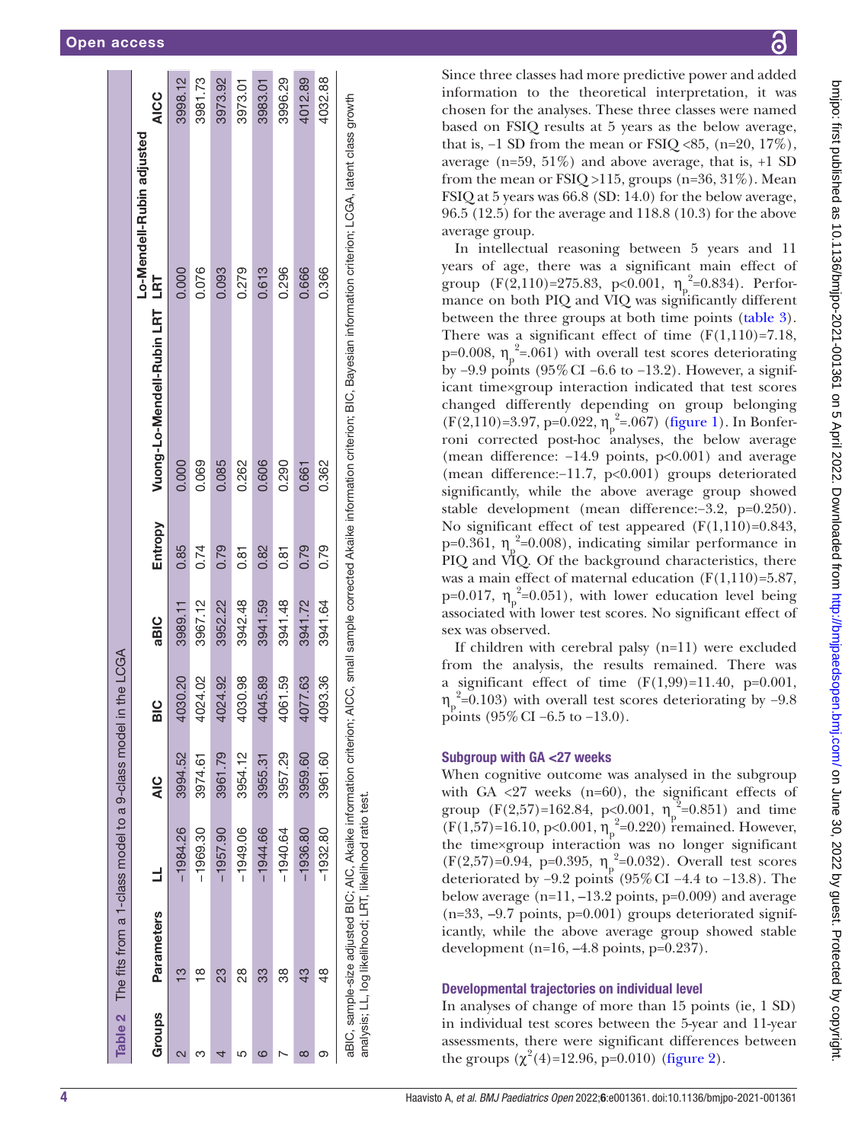|        | Table 2 The fits from a 1-class model to a 9-class model                                                                        |            |               | in the LCGA   |         |         |                                                                                                                           |                           |             |
|--------|---------------------------------------------------------------------------------------------------------------------------------|------------|---------------|---------------|---------|---------|---------------------------------------------------------------------------------------------------------------------------|---------------------------|-------------|
|        |                                                                                                                                 |            |               |               |         |         |                                                                                                                           | Lo-Mendell-Rubin adjusted |             |
| Groups | <b>Parameters</b>                                                                                                               | $\exists$  | $\frac{0}{4}$ | $\frac{0}{5}$ | aBIC    | Entropy | Vuong-Lo-Mendell-Rubin LRT LRT                                                                                            |                           | <b>AICC</b> |
|        | ო                                                                                                                               | $-1984.26$ | 3994.52       | 1030.20       | 3989.11 | 0.85    | 0.000                                                                                                                     | 0.000                     | 3998.12     |
|        | $\infty$                                                                                                                        | $-1969.30$ | 3974.61       | 1024.02       | 3967.12 | 0.74    | 0.069                                                                                                                     | 0.076                     | 3981.73     |
|        | 23                                                                                                                              | $-1957.90$ | 3961.79       | 1024.92       | 3952.22 | 0.79    | 0.085                                                                                                                     | 0.093                     | 3973.92     |
|        | 28                                                                                                                              | $-1949.06$ | 3954.12       | 1030.98       | 3942.48 | 0.81    | 0.262                                                                                                                     | 0.279                     | 3973.01     |
|        | 33                                                                                                                              | $-1944.66$ | 3955.31       | 1045.89       | 3941.59 | 0.82    | 0.606                                                                                                                     | 0.613                     | 3983.01     |
|        | 38                                                                                                                              | $-1940.64$ | 3957.29       | 1061.59       | 3941.48 | 0.81    | 0.290                                                                                                                     | 0.296                     | 3996.29     |
|        | 43                                                                                                                              | $-1936.80$ | 3959.60       | 1077.63       | 3941.72 | 0.79    | 0.661                                                                                                                     | 0.666                     | 4012.89     |
|        | $\frac{8}{4}$                                                                                                                   | $-1932.80$ | 3961.60       | 4093.36       | 3941.64 | 0.79    | 0.362                                                                                                                     | 0.366                     | 4032.88     |
|        | aBIC, sample-size adjusted BIC; AIC, Akaike information criterion;<br>analysis; LL, log likelihood; LRT, likelihood ratio test. |            |               |               |         |         | AICC, small sample corrected Akaike information criterion; BIC, Bayesian information criterion; LCGA, latent class growth |                           |             |

Since three classes had more predictive power and added information to the theoretical interpretation, it was chosen for the analyses. These three classes were named based on FSIQ results at 5 years as the below average, that is,  $-1$  SD from the mean or FSIQ <85, (n=20, 17%), average ( $n=59$ ,  $51\%$ ) and above average, that is,  $+1$  SD from the mean or  $FSIO > 115$ , groups (n=36, 31%). Mean FSIQ at 5 years was 66.8 (SD: 14.0) for the below average, 96.5 (12.5) for the average and 118.8 (10.3) for the above average group.

In intellectual reasoning between 5 years and 11 years of age, there was a significant main effect of group  $(F(2,110)=275.83, p<0.001, \eta_p$  $2^2$ =0.834). Performance on both PIQ and VIQ was significantly different between the three groups at both time points [\(table](#page-4-0) 3). There was a significant effect of time  $(F(1,110)=7.18,$  $p=0.008, η<sub>p</sub>$  $2^2$ =.061) with overall test scores deteriorating by −9.9 points (95%CI −6.6 to −13.2). However, a significant time×group interaction indicated that test scores changed differently depending on group belonging  $(F(2,110)=3.97, p=0.022, \eta_p$  $2^2$ =.067) [\(figure](#page-4-1) 1). In Bonferroni corrected post-hoc analyses, the below average (mean difference: −14.9 points, p<0.001) and average (mean difference:−11.7, p<0.001) groups deteriorated significantly, while the above average group showed stable development (mean difference:−3.2, p=0.250). No significant effect of test appeared  $(F(1,110)=0.843,$  $p=0.361, \eta_p$  $2^2$ =0.008), indicating similar performance in PIQ and VIQ. Of the background characteristics, there was a main effect of maternal education  $(F(1,110)=5.87)$ ,  $p=0.017$ , η<sub>ρ</sub>  $2^2$ =0.051), with lower education level being associated with lower test scores. No significant effect of sex was observed.

If children with cerebral palsy (n=11) were excluded from the analysis, the results remained. There was a significant effect of time  $(F(1,99)=11.40, p=0.001,$  $\eta_p^2$ =0.103) with overall test scores deteriorating by -9.8 points (95%CI −6.5 to −13.0).

#### Subgroup with GA <27 weeks

When cognitive outcome was analysed in the subgroup with GA  $\langle 27 \rangle$  weeks (n=60), the significant effects of group (F(2,57)=162.84, p<0.001,  $\eta_p$  $2^2$ =0.851) and time  $(F(1,57)=16.10, p<0.001, \eta_p$  $^2$ =0.220) remained. However, the time×group interaction was no longer significant  $(F(2,57)=0.94, p=0.395, \eta_p$  $2^2$ =0.032). Overall test scores deteriorated by −9.2 points (95%CI −4.4 to −13.8). The below average  $(n=11, -13.2 \text{ points}, p=0.009)$  and average (n=33, –9.7 points, p=0.001) groups deteriorated significantly, while the above average group showed stable development (n=16,  $-4.8$  points, p=0.237).

#### Developmental trajectories on individual level

<span id="page-3-0"></span>In analyses of change of more than 15 points (ie, 1 SD) in individual test scores between the 5-year and 11-year assessments, there were significant differences between the groups  $(\chi^2(4)=12.96, p=0.010)$  [\(figure](#page-4-2) 2).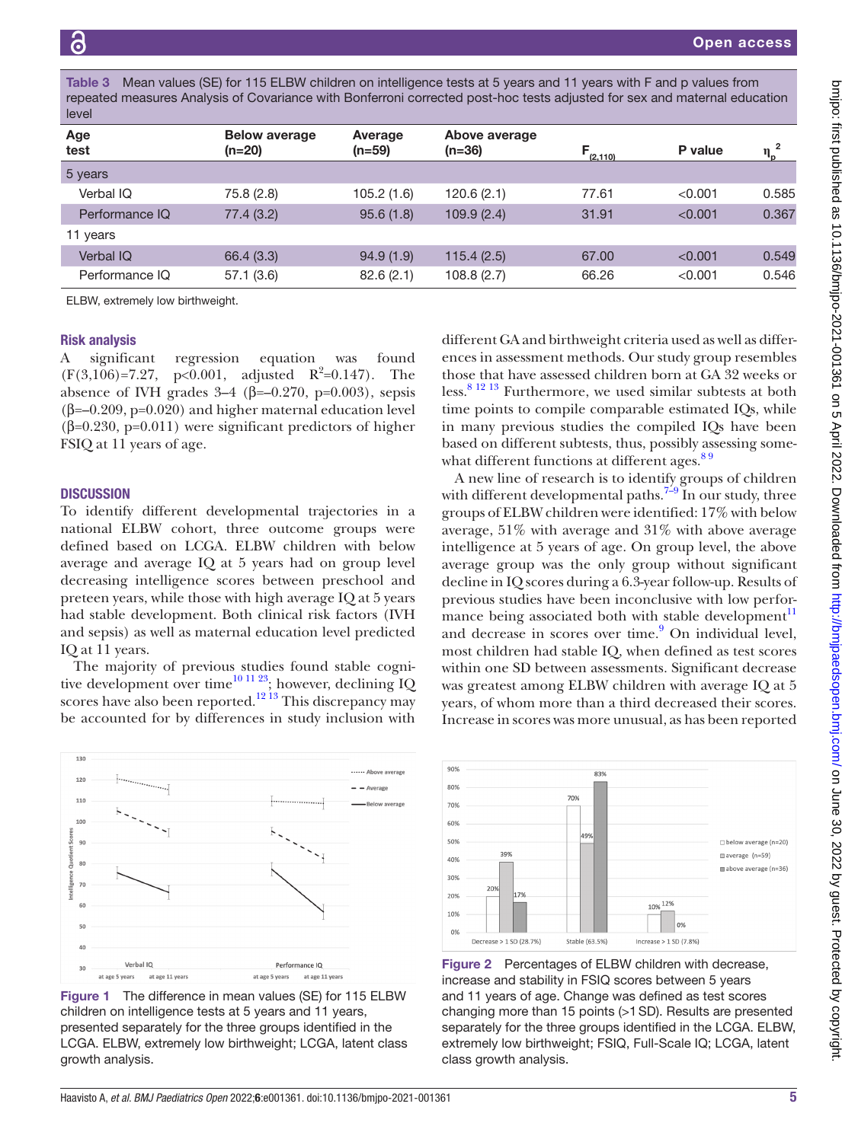<span id="page-4-0"></span>Mean values (SE) for 115 ELBW children on intelligence tests at 5 years and 11 years with F and p values from repeated measures Analysis of Covariance with Bonferroni corrected post-hoc tests adjusted for sex and maternal education level

| Age<br>test      | <b>Below average</b><br>$(n=20)$ | Average<br>$(n=59)$ | Above average<br>$(n=36)$ | $F_{(2,110)}$ | P value |       |
|------------------|----------------------------------|---------------------|---------------------------|---------------|---------|-------|
| 5 years          |                                  |                     |                           |               |         |       |
| Verbal IQ        | 75.8 (2.8)                       | 105.2(1.6)          | 120.6(2.1)                | 77.61         | < 0.001 | 0.585 |
| Performance IQ   | 77.4(3.2)                        | 95.6(1.8)           | 109.9(2.4)                | 31.91         | < 0.001 | 0.367 |
| 11 years         |                                  |                     |                           |               |         |       |
| <b>Verbal IQ</b> | 66.4 (3.3)                       | 94.9(1.9)           | 115.4(2.5)                | 67.00         | < 0.001 | 0.549 |
| Performance IQ   | 57.1(3.6)                        | 82.6(2.1)           | 108.8(2.7)                | 66.26         | < 0.001 | 0.546 |

ELBW, extremely low birthweight.

#### Risk analysis

A significant regression equation was found  $(F(3,106)=7.27, p<0.001, \text{ adjusted } R^2=0.147).$  The absence of IVH grades  $3-4$  ( $\beta = -0.270$ ,  $p=0.003$ ), sepsis (β=–0.209, p=0.020) and higher maternal education level (β=0.230, p=0.011) were significant predictors of higher FSIQ at 11 years of age.

#### **DISCUSSION**

To identify different developmental trajectories in a national ELBW cohort, three outcome groups were defined based on LCGA. ELBW children with below average and average IQ at 5 years had on group level decreasing intelligence scores between preschool and preteen years, while those with high average IQ at 5 years had stable development. Both clinical risk factors (IVH and sepsis) as well as maternal education level predicted IQ at 11 years.

The majority of previous studies found stable cogni-tive development over time<sup>[10 11 23](#page-5-4)</sup>; however, declining IQ scores have also been reported.<sup>[12 13](#page-6-0)</sup> This discrepancy may be accounted for by differences in study inclusion with



<span id="page-4-1"></span>Figure 1 The difference in mean values (SE) for 115 ELBW children on intelligence tests at 5 years and 11 years, presented separately for the three groups identified in the LCGA. ELBW, extremely low birthweight; LCGA, latent class growth analysis.

different GA and birthweight criteria used as well as differences in assessment methods. Our study group resembles those that have assessed children born at GA 32 weeks or less.<sup>8 12 13</sup> Furthermore, we used similar subtests at both time points to compile comparable estimated IQs, while in many previous studies the compiled IQs have been based on different subtests, thus, possibly assessing somewhat different functions at different ages.<sup>89</sup>

A new line of research is to identify groups of children with different developmental paths.<sup>7-9</sup> In our study, three groups of ELBW children were identified: 17% with below average, 51% with average and 31% with above average intelligence at 5 years of age. On group level, the above average group was the only group without significant decline in IQ scores during a 6.3-year follow-up. Results of previous studies have been inconclusive with low performance being associated both with stable development $11$ and decrease in scores over time.<sup>[9](#page-5-6)</sup> On individual level, most children had stable IQ, when defined as test scores within one SD between assessments. Significant decrease was greatest among ELBW children with average IQ at 5 years, of whom more than a third decreased their scores. Increase in scores was more unusual, as has been reported



<span id="page-4-2"></span>Figure 2 Percentages of ELBW children with decrease, increase and stability in FSIQ scores between 5 years and 11 years of age. Change was defined as test scores changing more than 15 points (>1SD). Results are presented separately for the three groups identified in the LCGA. ELBW, extremely low birthweight; FSIQ, Full-Scale IQ; LCGA, latent class growth analysis.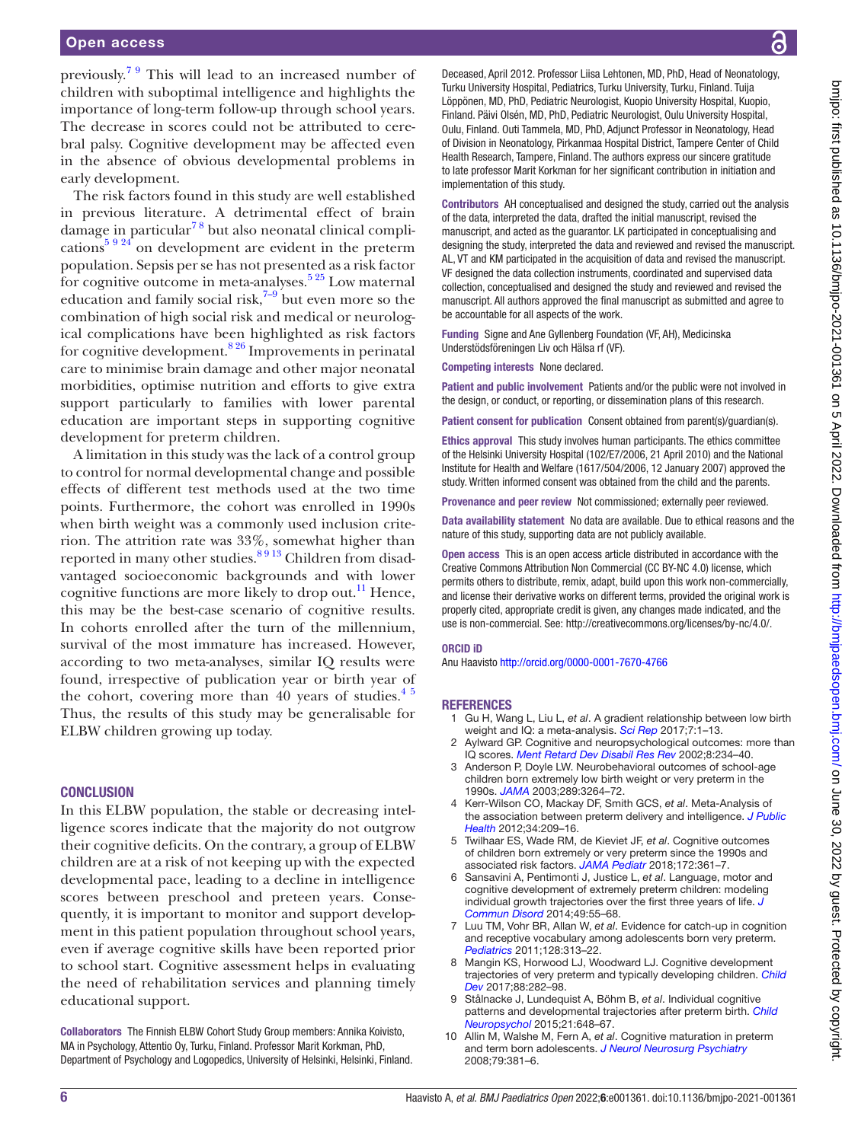#### Open access

previously.[7 9](#page-5-3) This will lead to an increased number of children with suboptimal intelligence and highlights the importance of long-term follow-up through school years. The decrease in scores could not be attributed to cerebral palsy. Cognitive development may be affected even in the absence of obvious developmental problems in early development.

The risk factors found in this study are well established in previous literature. A detrimental effect of brain damage in particular<sup>78</sup> but also neonatal clinical compli-cations<sup>[5 9 24](#page-5-7)</sup> on development are evident in the preterm population. Sepsis per se has not presented as a risk factor for cognitive outcome in meta-analyses. $5\frac{25}{5}$  Low maternal education and family social risk, $7-9$  but even more so the combination of high social risk and medical or neurological complications have been highlighted as risk factors for cognitive development.[8 26](#page-5-5) Improvements in perinatal care to minimise brain damage and other major neonatal morbidities, optimise nutrition and efforts to give extra support particularly to families with lower parental education are important steps in supporting cognitive development for preterm children.

A limitation in this study was the lack of a control group to control for normal developmental change and possible effects of different test methods used at the two time points. Furthermore, the cohort was enrolled in 1990s when birth weight was a commonly used inclusion criterion. The attrition rate was 33%, somewhat higher than reported in many other studies.<sup>8913</sup> Children from disadvantaged socioeconomic backgrounds and with lower cognitive functions are more likely to drop out.<sup>[11](#page-6-8)</sup> Hence, this may be the best-case scenario of cognitive results. In cohorts enrolled after the turn of the millennium, survival of the most immature has increased. However, according to two meta-analyses, similar IQ results were found, irrespective of publication year or birth year of the cohort, covering more than 40 years of studies. $4^{\frac{1}{5}}$ Thus, the results of this study may be generalisable for ELBW children growing up today.

#### **CONCLUSION**

In this ELBW population, the stable or decreasing intelligence scores indicate that the majority do not outgrow their cognitive deficits. On the contrary, a group of ELBW children are at a risk of not keeping up with the expected developmental pace, leading to a decline in intelligence scores between preschool and preteen years. Consequently, it is important to monitor and support development in this patient population throughout school years, even if average cognitive skills have been reported prior to school start. Cognitive assessment helps in evaluating the need of rehabilitation services and planning timely educational support.

Collaborators The Finnish ELBW Cohort Study Group members: Annika Koivisto, MA in Psychology, Attentio Oy, Turku, Finland. Professor Marit Korkman, PhD, Department of Psychology and Logopedics, University of Helsinki, Helsinki, Finland.

Deceased, April 2012. Professor Liisa Lehtonen, MD, PhD, Head of Neonatology, Turku University Hospital, Pediatrics, Turku University, Turku, Finland. Tuija Löppönen, MD, PhD, Pediatric Neurologist, Kuopio University Hospital, Kuopio, Finland. Päivi Olsén, MD, PhD, Pediatric Neurologist, Oulu University Hospital, Oulu, Finland. Outi Tammela, MD, PhD, Adjunct Professor in Neonatology, Head of Division in Neonatology, Pirkanmaa Hospital District, Tampere Center of Child Health Research, Tampere, Finland. The authors express our sincere gratitude to late professor Marit Korkman for her significant contribution in initiation and implementation of this study.

Contributors AH conceptualised and designed the study, carried out the analysis of the data, interpreted the data, drafted the initial manuscript, revised the manuscript, and acted as the guarantor. LK participated in conceptualising and designing the study, interpreted the data and reviewed and revised the manuscript. AL, VT and KM participated in the acquisition of data and revised the manuscript. VF designed the data collection instruments, coordinated and supervised data collection, conceptualised and designed the study and reviewed and revised the manuscript. All authors approved the final manuscript as submitted and agree to be accountable for all aspects of the work.

Funding Signe and Ane Gyllenberg Foundation (VF, AH), Medicinska Understödsföreningen Liv och Hälsa rf (VF).

Competing interests None declared.

Patient and public involvement Patients and/or the public were not involved in the design, or conduct, or reporting, or dissemination plans of this research.

Patient consent for publication Consent obtained from parent(s)/guardian(s).

Ethics approval This study involves human participants. The ethics committee of the Helsinki University Hospital (102/E7/2006, 21 April 2010) and the National Institute for Health and Welfare (1617/504/2006, 12 January 2007) approved the study. Written informed consent was obtained from the child and the parents.

Provenance and peer review Not commissioned; externally peer reviewed.

Data availability statement No data are available. Due to ethical reasons and the nature of this study, supporting data are not publicly available.

Open access This is an open access article distributed in accordance with the Creative Commons Attribution Non Commercial (CC BY-NC 4.0) license, which permits others to distribute, remix, adapt, build upon this work non-commercially, and license their derivative works on different terms, provided the original work is properly cited, appropriate credit is given, any changes made indicated, and the use is non-commercial. See:<http://creativecommons.org/licenses/by-nc/4.0/>.

#### ORCID iD

Anu Haavisto<http://orcid.org/0000-0001-7670-4766>

#### **REFERENCES**

- <span id="page-5-0"></span>1 Gu H, Wang L, Liu L, *et al*. A gradient relationship between low birth weight and IQ: a meta-analysis. *[Sci Rep](http://dx.doi.org/10.1038/s41598-017-18234-9)* 2017;7:1–13.
- Aylward GP. Cognitive and neuropsychological outcomes: more than IQ scores. *[Ment Retard Dev Disabil Res Rev](http://dx.doi.org/10.1002/mrdd.10043)* 2002;8:234–40.
- 3 Anderson P, Doyle LW. Neurobehavioral outcomes of school-age children born extremely low birth weight or very preterm in the 1990s. *[JAMA](http://dx.doi.org/10.1001/jama.289.24.3264)* 2003;289:3264–72.
- <span id="page-5-1"></span>4 Kerr-Wilson CO, Mackay DF, Smith GCS, *et al*. Meta-Analysis of the association between preterm delivery and intelligence. *[J Public](http://dx.doi.org/10.1093/pubmed/fdr024)  [Health](http://dx.doi.org/10.1093/pubmed/fdr024)* 2012;34:209–16.
- <span id="page-5-7"></span>5 Twilhaar ES, Wade RM, de Kieviet JF, *et al*. Cognitive outcomes of children born extremely or very preterm since the 1990s and associated risk factors. *[JAMA Pediatr](http://dx.doi.org/10.1001/jamapediatrics.2017.5323)* 2018;172:361–7.
- <span id="page-5-2"></span>6 Sansavini A, Pentimonti J, Justice L, *et al*. Language, motor and cognitive development of extremely preterm children: modeling individual growth trajectories over the first three years of life. *[J](http://dx.doi.org/10.1016/j.jcomdis.2014.02.005)  [Commun Disord](http://dx.doi.org/10.1016/j.jcomdis.2014.02.005)* 2014;49:55–68.
- <span id="page-5-3"></span>7 Luu TM, Vohr BR, Allan W, *et al*. Evidence for catch-up in cognition and receptive vocabulary among adolescents born very preterm. *[Pediatrics](http://dx.doi.org/10.1542/peds.2010-2655)* 2011;128:313–22.
- <span id="page-5-5"></span>8 Mangin KS, Horwood LJ, Woodward LJ. Cognitive development trajectories of very preterm and typically developing children. *[Child](http://dx.doi.org/10.1111/cdev.12585)  [Dev](http://dx.doi.org/10.1111/cdev.12585)* 2017;88:282–98.
- <span id="page-5-6"></span>9 Stålnacke J, Lundequist A, Böhm B, *et al*. Individual cognitive patterns and developmental trajectories after preterm birth. *[Child](http://dx.doi.org/10.1080/09297049.2014.958071)  [Neuropsychol](http://dx.doi.org/10.1080/09297049.2014.958071)* 2015;21:648–67.
- <span id="page-5-4"></span>10 Allin M, Walshe M, Fern A, *et al*. Cognitive maturation in preterm and term born adolescents. *[J Neurol Neurosurg Psychiatry](http://dx.doi.org/10.1136/jnnp.2006.110858)* 2008;79:381–6.